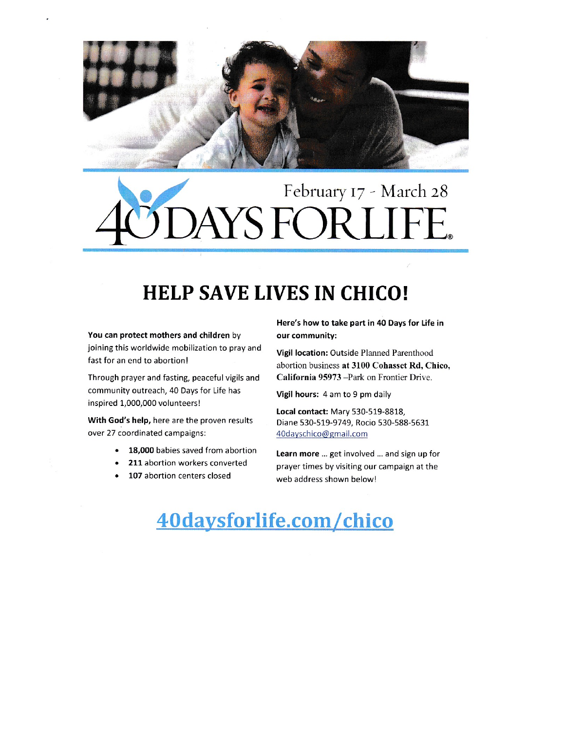

# February 17 - March 28 YS FORLIFE.

### **HELP SAVE LIVES IN CHICO!**

You can protect mothers and children by joining this worldwide mobilization to pray and fast for an end to abortion!

Through prayer and fasting, peaceful vigils and community outreach, 40 Days for Life has inspired 1,000,000 volunteers!

With God's help, here are the proven results over 27 coordinated campaigns:

- 18,000 babies saved from abortion
- 211 abortion workers converted
- 107 abortion centers closed

Here's how to take part in 40 Days for Life in our community:

Vigil location: Outside Planned Parenthood abortion business at 3100 Cohasset Rd, Chico, California 95973 - Park on Frontier Drive.

Vigil hours: 4 am to 9 pm daily

Local contact: Mary 530-519-8818, Diane 530-519-9749, Rocio 530-588-5631 40dayschico@gmail.com

Learn more ... get involved ... and sign up for prayer times by visiting our campaign at the web address shown below!

## 40daysforlife.com/chico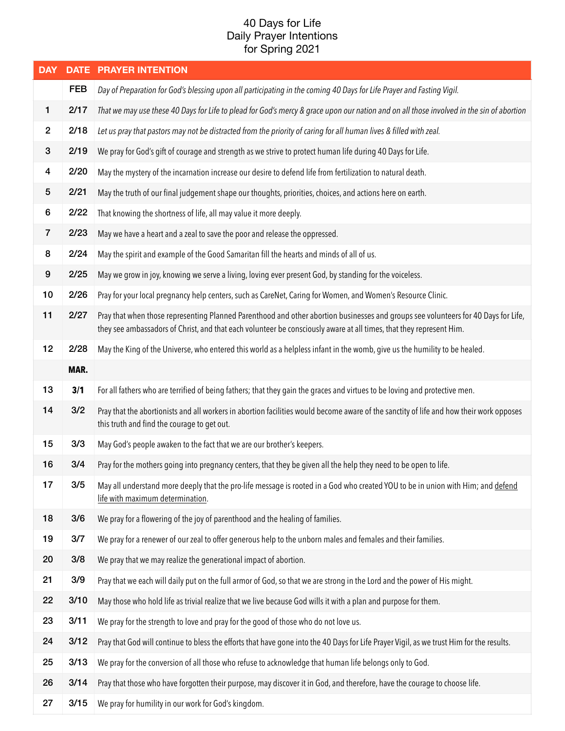### 40 Days for Life Daily Prayer Intentions for Spring 2021

| <b>DAY</b>              |            | <b>DATE PRAYER INTENTION</b>                                                                                                                                                                                                                              |
|-------------------------|------------|-----------------------------------------------------------------------------------------------------------------------------------------------------------------------------------------------------------------------------------------------------------|
|                         | <b>FEB</b> | Day of Preparation for God's blessing upon all participating in the coming 40 Days for Life Prayer and Fasting Vigil.                                                                                                                                     |
| 1                       | 2/17       | That we may use these 40 Days for Life to plead for God's mercy & grace upon our nation and on all those involved in the sin of abortion                                                                                                                  |
| $\overline{2}$          | 2/18       | Let us pray that pastors may not be distracted from the priority of caring for all human lives & filled with zeal.                                                                                                                                        |
| $\mathbf{3}$            | 2/19       | We pray for God's gift of courage and strength as we strive to protect human life during 40 Days for Life.                                                                                                                                                |
| $\overline{\mathbf{4}}$ | 2/20       | May the mystery of the incarnation increase our desire to defend life from fertilization to natural death.                                                                                                                                                |
| 5                       | 2/21       | May the truth of our final judgement shape our thoughts, priorities, choices, and actions here on earth.                                                                                                                                                  |
| 6                       | 2/22       | That knowing the shortness of life, all may value it more deeply.                                                                                                                                                                                         |
| $\overline{7}$          | 2/23       | May we have a heart and a zeal to save the poor and release the oppressed.                                                                                                                                                                                |
| 8                       | 2/24       | May the spirit and example of the Good Samaritan fill the hearts and minds of all of us.                                                                                                                                                                  |
| $\boldsymbol{9}$        | 2/25       | May we grow in joy, knowing we serve a living, loving ever present God, by standing for the voiceless.                                                                                                                                                    |
| 10                      | 2/26       | Pray for your local pregnancy help centers, such as CareNet, Caring for Women, and Women's Resource Clinic.                                                                                                                                               |
| 11                      | 2/27       | Pray that when those representing Planned Parenthood and other abortion businesses and groups see volunteers for 40 Days for Life,<br>they see ambassadors of Christ, and that each volunteer be consciously aware at all times, that they represent Him. |
| 12                      | 2/28       | May the King of the Universe, who entered this world as a helpless infant in the womb, give us the humility to be healed.                                                                                                                                 |
|                         | MAR.       |                                                                                                                                                                                                                                                           |
| 13                      | 3/1        | For all fathers who are terrified of being fathers; that they gain the graces and virtues to be loving and protective men.                                                                                                                                |
| 14                      | 3/2        | Pray that the abortionists and all workers in abortion facilities would become aware of the sanctity of life and how their work opposes<br>this truth and find the courage to get out.                                                                    |
| 15                      | 3/3        | May God's people awaken to the fact that we are our brother's keepers.                                                                                                                                                                                    |
| 16                      | 3/4        | Pray for the mothers going into pregnancy centers, that they be given all the help they need to be open to life.                                                                                                                                          |
| 17                      | 3/5        | May all understand more deeply that the pro-life message is rooted in a God who created YOU to be in union with Him; and defend<br>life with maximum determination.                                                                                       |
| 18                      | 3/6        | We pray for a flowering of the joy of parenthood and the healing of families.                                                                                                                                                                             |
| 19                      | 3/7        | We pray for a renewer of our zeal to offer generous help to the unborn males and females and their families.                                                                                                                                              |
| 20                      | 3/8        | We pray that we may realize the generational impact of abortion.                                                                                                                                                                                          |
| 21                      | 3/9        | Pray that we each will daily put on the full armor of God, so that we are strong in the Lord and the power of His might.                                                                                                                                  |
| 22                      | 3/10       | May those who hold life as trivial realize that we live because God wills it with a plan and purpose for them.                                                                                                                                            |
| 23                      | 3/11       | We pray for the strength to love and pray for the good of those who do not love us.                                                                                                                                                                       |
| 24                      | 3/12       | Pray that God will continue to bless the efforts that have gone into the 40 Days for Life Prayer Vigil, as we trust Him for the results.                                                                                                                  |
| 25                      | 3/13       | We pray for the conversion of all those who refuse to acknowledge that human life belongs only to God.                                                                                                                                                    |
| 26                      | 3/14       | Pray that those who have forgotten their purpose, may discover it in God, and therefore, have the courage to choose life.                                                                                                                                 |
| 27                      | 3/15       | We pray for humility in our work for God's kingdom.                                                                                                                                                                                                       |